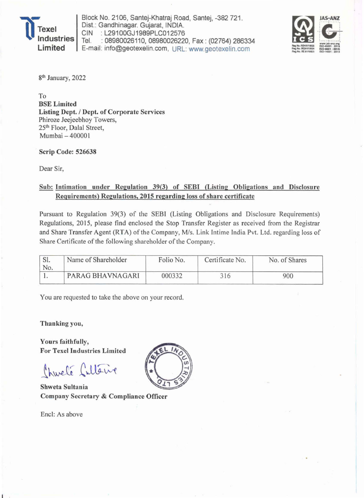

Block No. 2106, Santej-Khatraj Road, Santej, -382 721. Dist.: Gandhinagar. Gujarat, INDIA. CIN : L29100GJ1989PLC012576 Tel. : 08980026110, 08980026220, Fax: (02764) 286334 E-mail: info@geotexelin.com, URL: www.geotexelin.com



8<sup>th</sup> January, 2022

To BSE Limited Listing Dept. / Dept. of Corporate Services Phiroze Jeejeebhoy Towers, 25<sup>th</sup> Floor, Dalal Street, Mumbai - 400001

Scrip Code: 526638

Dear Sir,

## Sub: Intimation under Regulation 39(3) of SEBI (Listing Obligations and Disclosure Requirements) Regulations, 2015 regarding loss of share certificate

Pursuant to Regulation 39(3) of the SEBI (Listing Obligations and Disclosure Requirements) Regulations, 2015, please find enclosed the Stop Transfer Register as received from the Registrar and Share Transfer Agent (RTA) of the Company, M/s. Link Intime India Pvt. Ltd. regarding loss of Share Certificate of the following shareholder of the Company.

| эı.<br>No. | Name of Shareholder | Folio No. | Certificate No. | No. of Shares |  |
|------------|---------------------|-----------|-----------------|---------------|--|
|            | PARAG BHAVNAGARI    | 000332    |                 | 900           |  |

You are requested to take the above on your record.

Thanking you,

Yours faithfully, For Texel Industries Limited

Churché Cultérie

Shweta Sultania Company Secretary & Compliance Officer

Encl: As above